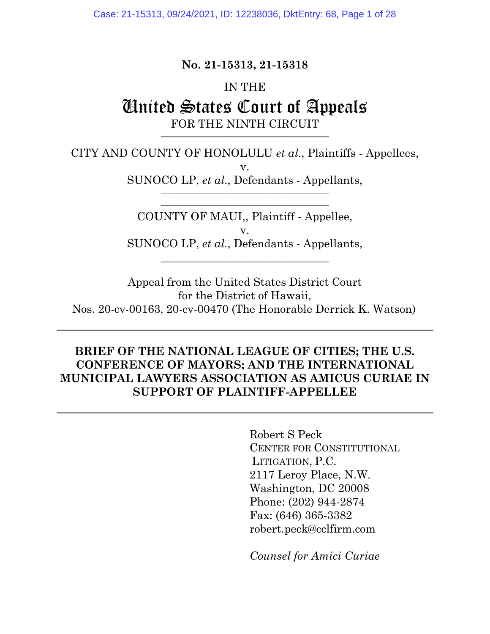## **No. 21-15313, 21-15318**

### IN THE

# United States Court of Appeals FOR THE NINTH CIRCUIT \_\_\_\_\_\_\_\_\_\_\_\_\_\_\_\_\_\_\_\_\_\_\_\_\_\_\_\_\_\_

CITY AND COUNTY OF HONOLULU *et al*., Plaintiffs - Appellees, v.

SUNOCO LP, *et al*., Defendants - Appellants,  $\frac{1}{2}$ 

\_\_\_\_\_\_\_\_\_\_\_\_\_\_\_\_\_\_\_\_\_\_\_\_\_\_\_\_\_\_

COUNTY OF MAUI,, Plaintiff - Appellee, v. SUNOCO LP, *et al*., Defendants - Appellants, \_\_\_\_\_\_\_\_\_\_\_\_\_\_\_\_\_\_\_\_\_\_\_\_\_\_\_\_\_\_

Appeal from the United States District Court for the District of Hawaii, Nos. 20-cv-00163, 20-cv-00470 (The Honorable Derrick K. Watson)

## **BRIEF OF THE NATIONAL LEAGUE OF CITIES; THE U.S. CONFERENCE OF MAYORS; AND THE INTERNATIONAL MUNICIPAL LAWYERS ASSOCIATION AS AMICUS CURIAE IN SUPPORT OF PLAINTIFF-APPELLEE**

Robert S Peck CENTER FOR CONSTITUTIONAL LITIGATION, P.C. 2117 Leroy Place, N.W. Washington, DC 20008 Phone: (202) 944-2874 Fax: (646) 365-3382 robert.peck@cclfirm.com

*Counsel for Amici Curiae*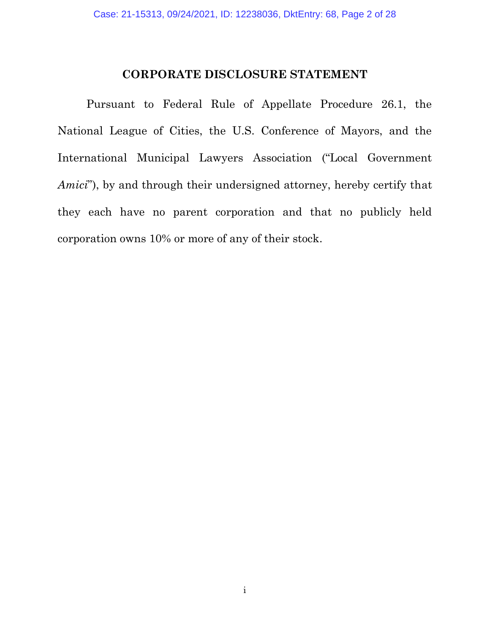## **CORPORATE DISCLOSURE STATEMENT**

Pursuant to Federal Rule of Appellate Procedure 26.1, the National League of Cities, the U.S. Conference of Mayors, and the International Municipal Lawyers Association ("Local Government *Amici*"), by and through their undersigned attorney, hereby certify that they each have no parent corporation and that no publicly held corporation owns 10% or more of any of their stock.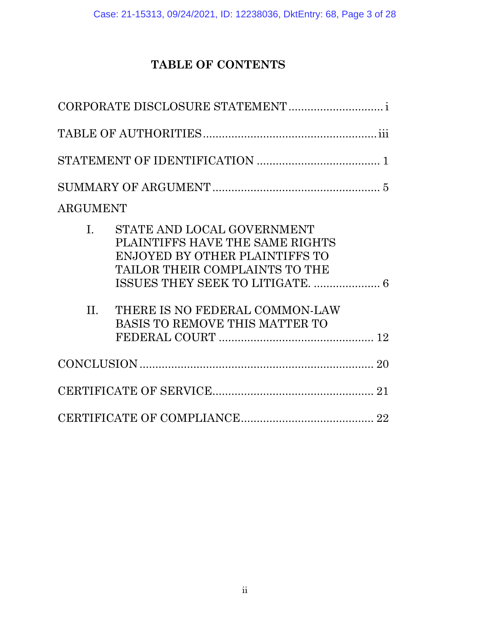# **TABLE OF CONTENTS**

| <b>ARGUMENT</b>     |                                                                                                                                                                                                       |  |
|---------------------|-------------------------------------------------------------------------------------------------------------------------------------------------------------------------------------------------------|--|
| $\mathbf{L}$<br>II. | STATE AND LOCAL GOVERNMENT<br>PLAINTIFFS HAVE THE SAME RIGHTS<br>ENJOYED BY OTHER PLAINTIFFS TO<br>TAILOR THEIR COMPLAINTS TO THE<br>THERE IS NO FEDERAL COMMON-LAW<br>BASIS TO REMOVE THIS MATTER TO |  |
|                     |                                                                                                                                                                                                       |  |
|                     |                                                                                                                                                                                                       |  |
|                     |                                                                                                                                                                                                       |  |
|                     |                                                                                                                                                                                                       |  |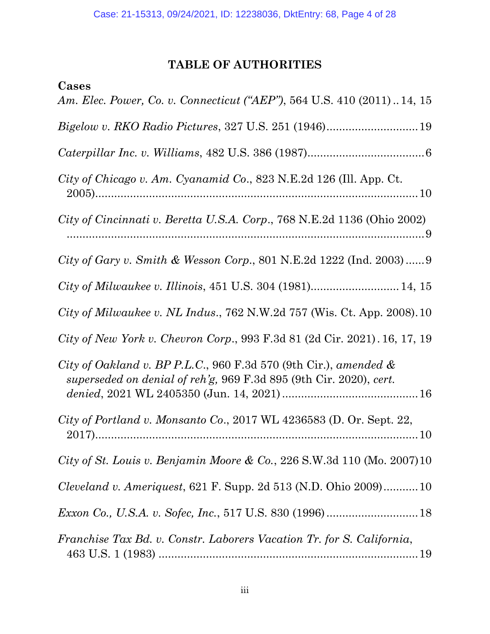# **TABLE OF AUTHORITIES**

| Cases                                                                                                                                     |
|-------------------------------------------------------------------------------------------------------------------------------------------|
| Am. Elec. Power, Co. v. Connecticut ("AEP"), 564 U.S. 410 (2011) 14, 15                                                                   |
|                                                                                                                                           |
|                                                                                                                                           |
| City of Chicago v. Am. Cyanamid Co., 823 N.E.2d 126 (Ill. App. Ct.                                                                        |
| City of Cincinnati v. Beretta U.S.A. Corp., 768 N.E.2d 1136 (Ohio 2002)                                                                   |
| City of Gary v. Smith & Wesson Corp., 801 N.E.2d 1222 (Ind. 2003) 9                                                                       |
|                                                                                                                                           |
| City of Milwaukee v. NL Indus., 762 N.W.2d 757 (Wis. Ct. App. 2008). 10                                                                   |
| City of New York v. Chevron Corp., 993 F.3d 81 (2d Cir. 2021). 16, 17, 19                                                                 |
| City of Oakland v. BP P.L.C., 960 F.3d 570 (9th Cir.), amended $\&$<br>superseded on denial of reh'g, 969 F.3d 895 (9th Cir. 2020), cert. |
| City of Portland v. Monsanto Co., 2017 WL 4236583 (D. Or. Sept. 22,                                                                       |
| City of St. Louis v. Benjamin Moore & Co., 226 S.W.3d 110 (Mo. 2007) 10                                                                   |
| <i>Cleveland v. Ameriquest, 621 F. Supp. 2d 513 (N.D. Ohio 2009)10</i>                                                                    |
| Exxon Co., U.S.A. v. Sofec, Inc., 517 U.S. 830 (1996) 18                                                                                  |
| Franchise Tax Bd. v. Constr. Laborers Vacation Tr. for S. California,                                                                     |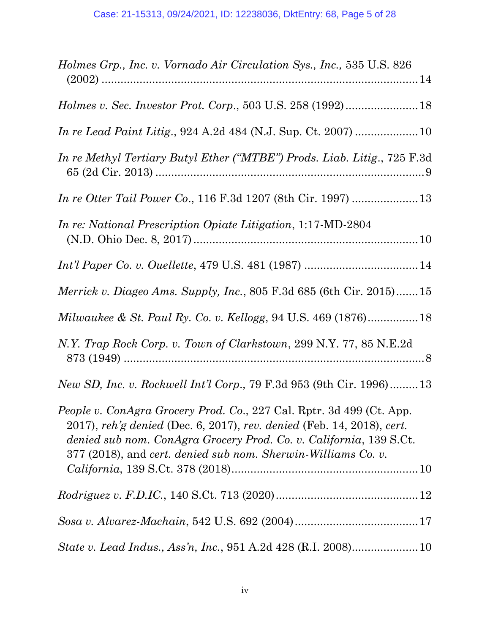| Holmes Grp., Inc. v. Vornado Air Circulation Sys., Inc., 535 U.S. 826                                                                                                                                                                                                                        |
|----------------------------------------------------------------------------------------------------------------------------------------------------------------------------------------------------------------------------------------------------------------------------------------------|
|                                                                                                                                                                                                                                                                                              |
|                                                                                                                                                                                                                                                                                              |
| In re Methyl Tertiary Butyl Ether ("MTBE") Prods. Liab. Litig., 725 F.3d                                                                                                                                                                                                                     |
|                                                                                                                                                                                                                                                                                              |
| <i>In re: National Prescription Opiate Litigation, 1:17 MD-2804</i>                                                                                                                                                                                                                          |
|                                                                                                                                                                                                                                                                                              |
| <i>Merrick v. Diageo Ams. Supply, Inc., 805 F.3d 685 (6th Cir. 2015)</i> 15                                                                                                                                                                                                                  |
| Milwaukee & St. Paul Ry. Co. v. Kellogg, 94 U.S. 469 (1876) 18                                                                                                                                                                                                                               |
| N.Y. Trap Rock Corp. v. Town of Clarkstown, 299 N.Y. 77, 85 N.E.2d                                                                                                                                                                                                                           |
| <i>New SD, Inc. v. Rockwell Int'l Corp., 79 F.3d 953 (9th Cir. 1996)13</i>                                                                                                                                                                                                                   |
| <i>People v. ConAgra Grocery Prod. Co., 227 Cal. Rptr. 3d 499 (Ct. App.</i><br>2017), reh'g denied (Dec. 6, 2017), rev. denied (Feb. 14, 2018), cert.<br>denied sub nom. ConAgra Grocery Prod. Co. v. California, 139 S.Ct.<br>377 (2018), and cert. denied sub nom. Sherwin-Williams Co. v. |
|                                                                                                                                                                                                                                                                                              |
|                                                                                                                                                                                                                                                                                              |
|                                                                                                                                                                                                                                                                                              |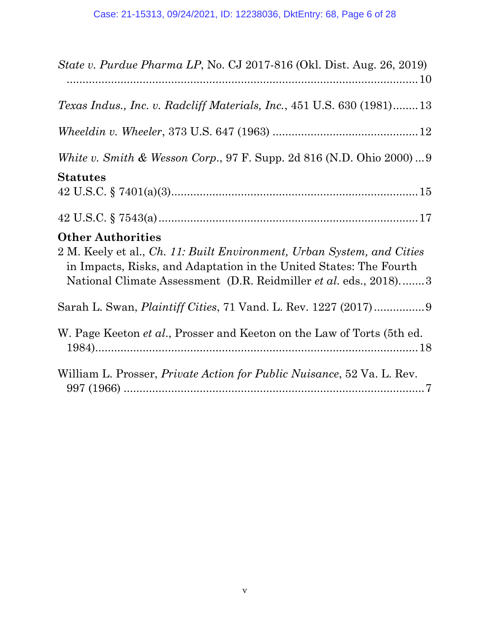| State v. Purdue Pharma LP, No. CJ 2017-816 (Okl. Dist. Aug. 26, 2019)                                                                                                                                                                        |
|----------------------------------------------------------------------------------------------------------------------------------------------------------------------------------------------------------------------------------------------|
| <i>Texas Indus., Inc. v. Radcliff Materials, Inc., 451 U.S. 630 (1981)13</i>                                                                                                                                                                 |
|                                                                                                                                                                                                                                              |
| <i>White v. Smith &amp; Wesson Corp.</i> , 97 F. Supp. 2d 816 (N.D. Ohio 2000)9                                                                                                                                                              |
| <b>Statutes</b>                                                                                                                                                                                                                              |
|                                                                                                                                                                                                                                              |
| <b>Other Authorities</b><br>2 M. Keely et al., Ch. 11: Built Environment, Urban System, and Cities<br>in Impacts, Risks, and Adaptation in the United States: The Fourth<br>National Climate Assessment (D.R. Reidmiller et al. eds., 2018)3 |
|                                                                                                                                                                                                                                              |
| W. Page Keeton <i>et al.</i> , Prosser and Keeton on the Law of Torts (5th ed.                                                                                                                                                               |
| William L. Prosser, <i>Private Action for Public Nuisance</i> , 52 Va. L. Rev.                                                                                                                                                               |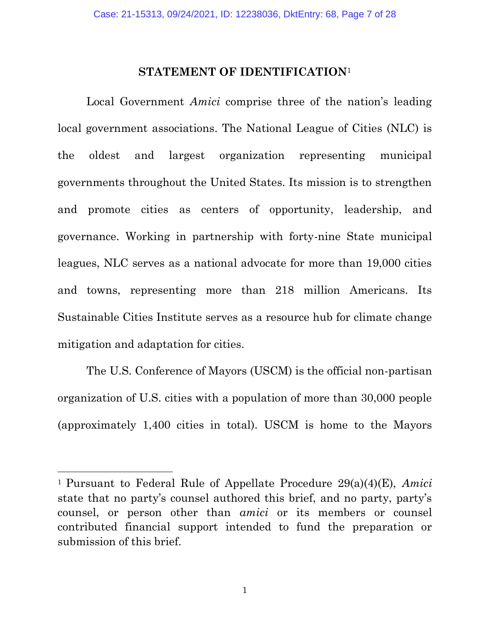## **STATEMENT OF IDENTIFICATION**<sup>1</sup>

Local Government *Amici* comprise three of the nation's leading local government associations. The National League of Cities (NLC) is the oldest and largest organization representing municipal governments throughout the United States. Its mission is to strengthen and promote cities as centers of opportunity, leadership, and governance. Working in partnership with forty-nine State municipal leagues, NLC serves as a national advocate for more than 19,000 cities and towns, representing more than 218 million Americans. Its Sustainable Cities Institute serves as a resource hub for climate change mitigation and adaptation for cities.

The U.S. Conference of Mayors (USCM) is the official non-partisan organization of U.S. cities with a population of more than 30,000 people (approximately 1,400 cities in total). USCM is home to the Mayors

<sup>1</sup>Pursuant to Federal Rule of Appellate Procedure 29(a)(4)(E), *Amici* state that no party's counsel authored this brief, and no party, party's counsel, or person other than *amici* or its members or counsel contributed financial support intended to fund the preparation or submission of this brief.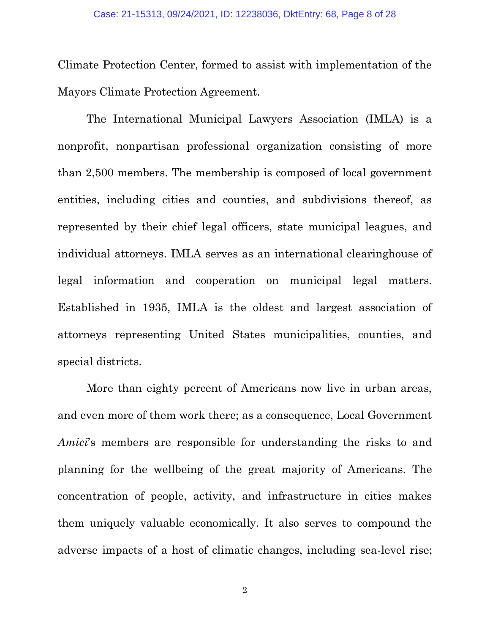Climate Protection Center, formed to assist with implementation of the Mayors Climate Protection Agreement.

The International Municipal Lawyers Association (IMLA) is a nonprofit, nonpartisan professional organization consisting of more than 2,500 members. The membership is composed of local government entities, including cities and counties, and subdivisions thereof, as represented by their chief legal officers, state municipal leagues, and individual attorneys. IMLA serves as an international clearinghouse of legal information and cooperation on municipal legal matters. Established in 1935, IMLA is the oldest and largest association of attorneys representing United States municipalities, counties, and special districts.

More than eighty percent of Americans now live in urban areas, and even more of them work there; as a consequence, Local Government *Amici*'s members are responsible for understanding the risks to and planning for the wellbeing of the great majority of Americans. The concentration of people, activity, and infrastructure in cities makes them uniquely valuable economically. It also serves to compound the adverse impacts of a host of climatic changes, including sea-level rise;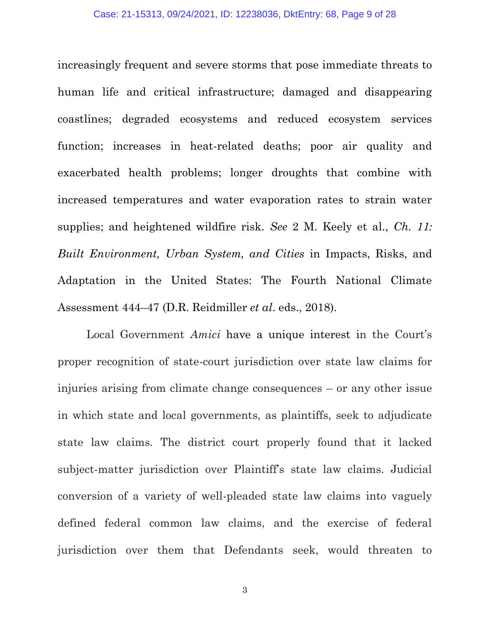increasingly frequent and severe storms that pose immediate threats to human life and critical infrastructure; damaged and disappearing coastlines; degraded ecosystems and reduced ecosystem services function; increases in heat-related deaths; poor air quality and exacerbated health problems; longer droughts that combine with increased temperatures and water evaporation rates to strain water supplies; and heightened wildfire risk. *See* 2 M. Keely et al., *Ch. 11: Built Environment, Urban System, and Cities* in Impacts, Risks, and Adaptation in the United States: The Fourth National Climate Assessment 444–47 (D.R. Reidmiller *et al*. eds., 2018).

Local Government *Amici* have a unique interest in the Court's proper recognition of state-court jurisdiction over state law claims for injuries arising from climate change consequences – or any other issue in which state and local governments, as plaintiffs, seek to adjudicate state law claims. The district court properly found that it lacked subject-matter jurisdiction over Plaintiff's state law claims. Judicial conversion of a variety of well-pleaded state law claims into vaguely defined federal common law claims, and the exercise of federal jurisdiction over them that Defendants seek, would threaten to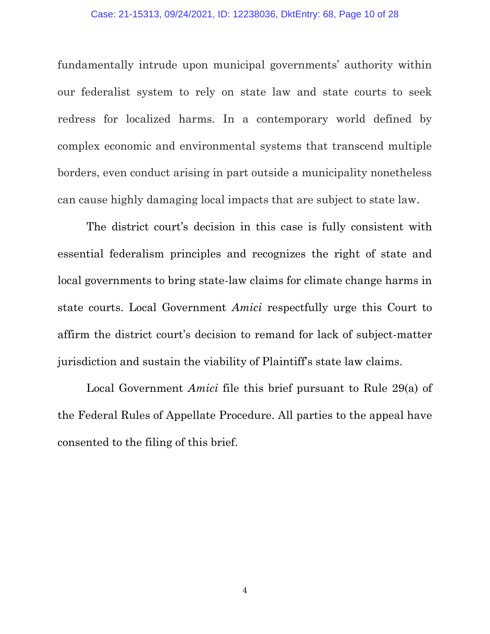#### Case: 21-15313, 09/24/2021, ID: 12238036, DktEntry: 68, Page 10 of 28

fundamentally intrude upon municipal governments' authority within our federalist system to rely on state law and state courts to seek redress for localized harms. In a contemporary world defined by complex economic and environmental systems that transcend multiple borders, even conduct arising in part outside a municipality nonetheless can cause highly damaging local impacts that are subject to state law.

The district court's decision in this case is fully consistent with essential federalism principles and recognizes the right of state and local governments to bring state-law claims for climate change harms in state courts. Local Government *Amici* respectfully urge this Court to affirm the district court's decision to remand for lack of subject-matter jurisdiction and sustain the viability of Plaintiff's state law claims.

Local Government *Amici* file this brief pursuant to Rule 29(a) of the Federal Rules of Appellate Procedure. All parties to the appeal have consented to the filing of this brief.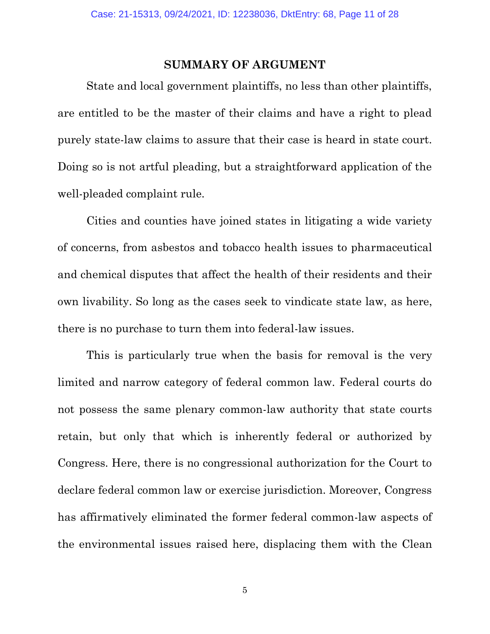#### **SUMMARY OF ARGUMENT**

State and local government plaintiffs, no less than other plaintiffs, are entitled to be the master of their claims and have a right to plead purely state-law claims to assure that their case is heard in state court. Doing so is not artful pleading, but a straightforward application of the well-pleaded complaint rule.

Cities and counties have joined states in litigating a wide variety of concerns, from asbestos and tobacco health issues to pharmaceutical and chemical disputes that affect the health of their residents and their own livability. So long as the cases seek to vindicate state law, as here, there is no purchase to turn them into federal-law issues.

This is particularly true when the basis for removal is the very limited and narrow category of federal common law. Federal courts do not possess the same plenary common-law authority that state courts retain, but only that which is inherently federal or authorized by Congress. Here, there is no congressional authorization for the Court to declare federal common law or exercise jurisdiction. Moreover, Congress has affirmatively eliminated the former federal common-law aspects of the environmental issues raised here, displacing them with the Clean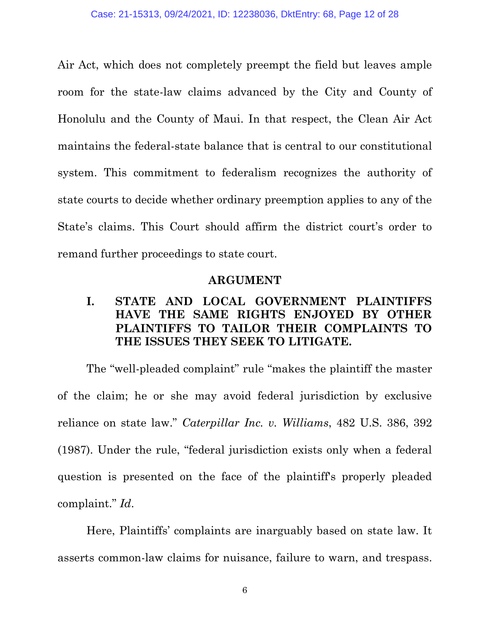Air Act, which does not completely preempt the field but leaves ample room for the state-law claims advanced by the City and County of Honolulu and the County of Maui. In that respect, the Clean Air Act maintains the federal-state balance that is central to our constitutional system. This commitment to federalism recognizes the authority of state courts to decide whether ordinary preemption applies to any of the State's claims. This Court should affirm the district court's order to remand further proceedings to state court.

#### **ARGUMENT**

# **I. STATE AND LOCAL GOVERNMENT PLAINTIFFS HAVE THE SAME RIGHTS ENJOYED BY OTHER PLAINTIFFS TO TAILOR THEIR COMPLAINTS TO THE ISSUES THEY SEEK TO LITIGATE.**

The "well-pleaded complaint" rule "makes the plaintiff the master of the claim; he or she may avoid federal jurisdiction by exclusive reliance on state law." *Caterpillar Inc. v. Williams*, 482 U.S. 386, 392 (1987). Under the rule, "federal jurisdiction exists only when a federal question is presented on the face of the plaintiff's properly pleaded complaint." *Id*.

Here, Plaintiffs' complaints are inarguably based on state law. It asserts common-law claims for nuisance, failure to warn, and trespass.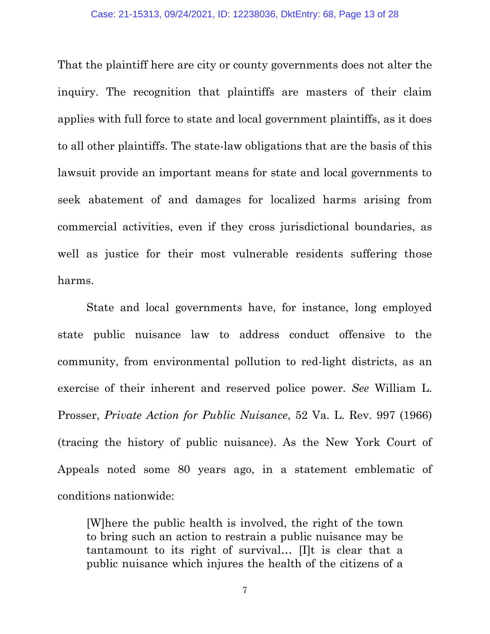That the plaintiff here are city or county governments does not alter the inquiry. The recognition that plaintiffs are masters of their claim applies with full force to state and local government plaintiffs, as it does to all other plaintiffs. The state-law obligations that are the basis of this lawsuit provide an important means for state and local governments to seek abatement of and damages for localized harms arising from commercial activities, even if they cross jurisdictional boundaries, as well as justice for their most vulnerable residents suffering those harms.

State and local governments have, for instance, long employed state public nuisance law to address conduct offensive to the community, from environmental pollution to red-light districts, as an exercise of their inherent and reserved police power. *See* William L. Prosser, *Private Action for Public Nuisance*, 52 Va. L. Rev. 997 (1966) (tracing the history of public nuisance). As the New York Court of Appeals noted some 80 years ago, in a statement emblematic of conditions nationwide:

[W]here the public health is involved, the right of the town to bring such an action to restrain a public nuisance may be tantamount to its right of survival… [I]t is clear that a public nuisance which injures the health of the citizens of a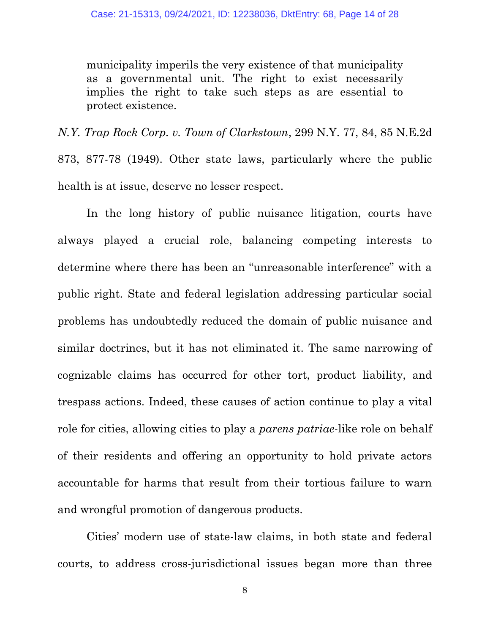municipality imperils the very existence of that municipality as a governmental unit. The right to exist necessarily implies the right to take such steps as are essential to protect existence.

*N.Y. Trap Rock Corp. v. Town of Clarkstown*, 299 N.Y. 77, 84, 85 N.E.2d 873, 877-78 (1949). Other state laws, particularly where the public health is at issue, deserve no lesser respect.

In the long history of public nuisance litigation, courts have always played a crucial role, balancing competing interests to determine where there has been an "unreasonable interference" with a public right. State and federal legislation addressing particular social problems has undoubtedly reduced the domain of public nuisance and similar doctrines, but it has not eliminated it. The same narrowing of cognizable claims has occurred for other tort, product liability, and trespass actions. Indeed, these causes of action continue to play a vital role for cities, allowing cities to play a *parens patriae*-like role on behalf of their residents and offering an opportunity to hold private actors accountable for harms that result from their tortious failure to warn and wrongful promotion of dangerous products.

Cities' modern use of state-law claims, in both state and federal courts, to address cross-jurisdictional issues began more than three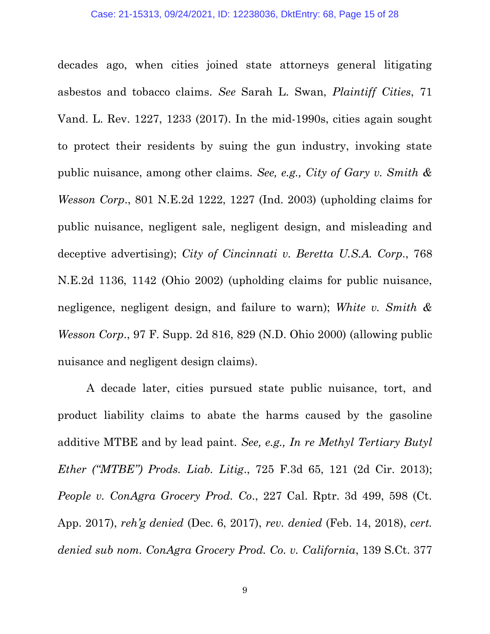decades ago, when cities joined state attorneys general litigating asbestos and tobacco claims. *See* Sarah L. Swan, *Plaintiff Cities*, 71 Vand. L. Rev. 1227, 1233 (2017). In the mid-1990s, cities again sought to protect their residents by suing the gun industry, invoking state public nuisance, among other claims. *See, e.g., City of Gary v. Smith & Wesson Corp*., 801 N.E.2d 1222, 1227 (Ind. 2003) (upholding claims for public nuisance, negligent sale, negligent design, and misleading and deceptive advertising); *City of Cincinnati v. Beretta U.S.A. Corp*., 768 N.E.2d 1136, 1142 (Ohio 2002) (upholding claims for public nuisance, negligence, negligent design, and failure to warn); *White v. Smith & Wesson Corp*., 97 F. Supp. 2d 816, 829 (N.D. Ohio 2000) (allowing public nuisance and negligent design claims).

A decade later, cities pursued state public nuisance, tort, and product liability claims to abate the harms caused by the gasoline additive MTBE and by lead paint. *See, e.g., In re Methyl Tertiary Butyl Ether ("MTBE") Prods. Liab. Litig*., 725 F.3d 65, 121 (2d Cir. 2013); *People v. ConAgra Grocery Prod. Co*., 227 Cal. Rptr. 3d 499, 598 (Ct. App. 2017), *reh'g denied* (Dec. 6, 2017), *rev. denied* (Feb. 14, 2018), *cert. denied sub nom. ConAgra Grocery Prod. Co. v. California*, 139 S.Ct. 377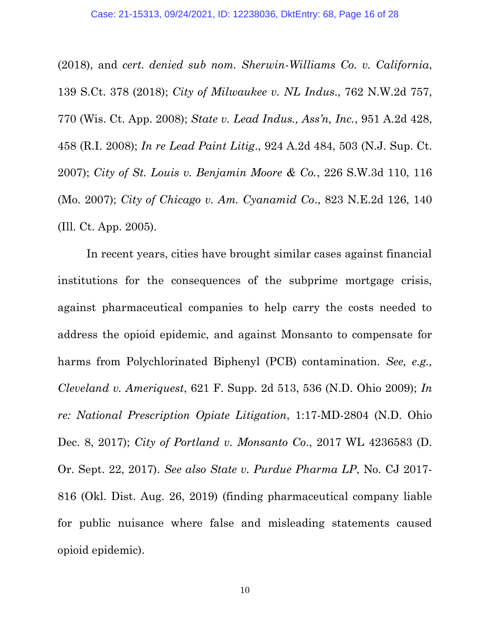(2018), and *cert. denied sub nom. Sherwin-Williams Co. v. California*, 139 S.Ct. 378 (2018); *City of Milwaukee v. NL Indus*., 762 N.W.2d 757, 770 (Wis. Ct. App. 2008); *State v. Lead Indus., Ass'n, Inc.*, 951 A.2d 428, 458 (R.I. 2008); *In re Lead Paint Litig*., 924 A.2d 484, 503 (N.J. Sup. Ct. 2007); *City of St. Louis v. Benjamin Moore & Co.*, 226 S.W.3d 110, 116 (Mo. 2007); *City of Chicago v. Am. Cyanamid Co*., 823 N.E.2d 126, 140 (Ill. Ct. App. 2005).

In recent years, cities have brought similar cases against financial institutions for the consequences of the subprime mortgage crisis, against pharmaceutical companies to help carry the costs needed to address the opioid epidemic, and against Monsanto to compensate for harms from Polychlorinated Biphenyl (PCB) contamination. *See, e.g., Cleveland v. Ameriquest*, 621 F. Supp. 2d 513, 536 (N.D. Ohio 2009); *In re: National Prescription Opiate Litigation*, 1:17-MD-2804 (N.D. Ohio Dec. 8, 2017); *City of Portland v. Monsanto Co*., 2017 WL 4236583 (D. Or. Sept. 22, 2017). *See also State v. Purdue Pharma LP*, No. CJ 2017- 816 (Okl. Dist. Aug. 26, 2019) (finding pharmaceutical company liable for public nuisance where false and misleading statements caused opioid epidemic).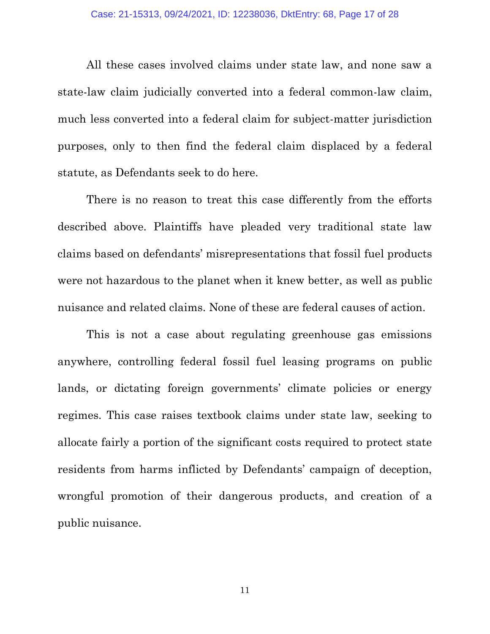All these cases involved claims under state law, and none saw a state-law claim judicially converted into a federal common-law claim, much less converted into a federal claim for subject-matter jurisdiction purposes, only to then find the federal claim displaced by a federal statute, as Defendants seek to do here.

There is no reason to treat this case differently from the efforts described above. Plaintiffs have pleaded very traditional state law claims based on defendants' misrepresentations that fossil fuel products were not hazardous to the planet when it knew better, as well as public nuisance and related claims. None of these are federal causes of action.

This is not a case about regulating greenhouse gas emissions anywhere, controlling federal fossil fuel leasing programs on public lands, or dictating foreign governments' climate policies or energy regimes. This case raises textbook claims under state law, seeking to allocate fairly a portion of the significant costs required to protect state residents from harms inflicted by Defendants' campaign of deception, wrongful promotion of their dangerous products, and creation of a public nuisance.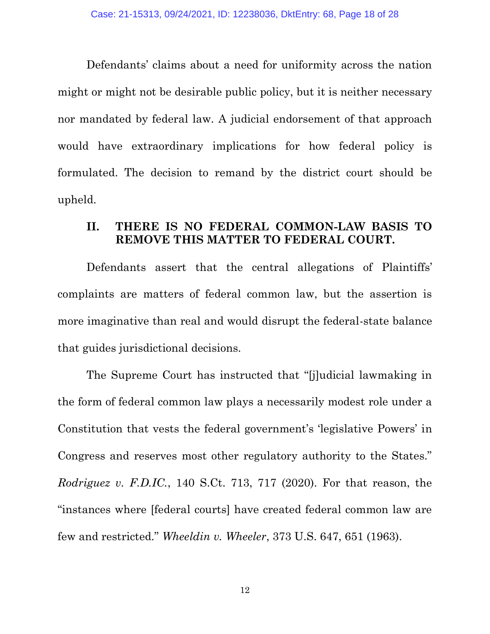Defendants' claims about a need for uniformity across the nation might or might not be desirable public policy, but it is neither necessary nor mandated by federal law. A judicial endorsement of that approach would have extraordinary implications for how federal policy is formulated. The decision to remand by the district court should be upheld.

## **II. THERE IS NO FEDERAL COMMON-LAW BASIS TO REMOVE THIS MATTER TO FEDERAL COURT.**

Defendants assert that the central allegations of Plaintiffs' complaints are matters of federal common law, but the assertion is more imaginative than real and would disrupt the federal-state balance that guides jurisdictional decisions.

The Supreme Court has instructed that "[j]udicial lawmaking in the form of federal common law plays a necessarily modest role under a Constitution that vests the federal government's 'legislative Powers' in Congress and reserves most other regulatory authority to the States." *Rodriguez v. F.D.IC.*, 140 S.Ct. 713, 717 (2020). For that reason, the "instances where [federal courts] have created federal common law are few and restricted." *Wheeldin v. Wheeler*, 373 U.S. 647, 651 (1963).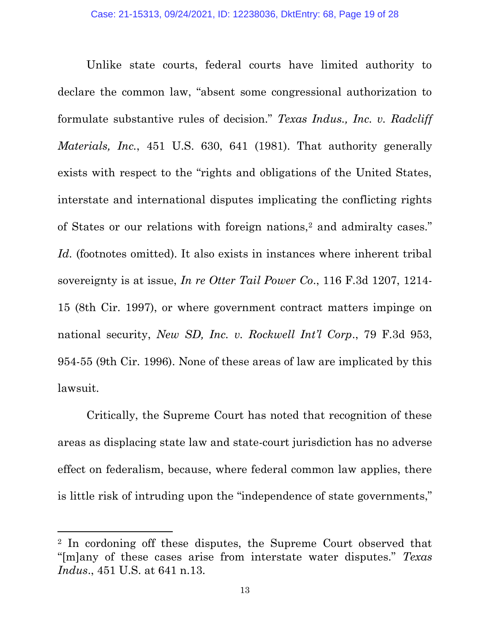Unlike state courts, federal courts have limited authority to declare the common law, "absent some congressional authorization to formulate substantive rules of decision." *Texas Indus., Inc. v. Radcliff Materials, Inc.*, 451 U.S. 630, 641 (1981). That authority generally exists with respect to the "rights and obligations of the United States, interstate and international disputes implicating the conflicting rights of States or our relations with foreign nations,<sup>2</sup> and admiralty cases." Id. (footnotes omitted). It also exists in instances where inherent tribal sovereignty is at issue, *In re Otter Tail Power Co*., 116 F.3d 1207, 1214- 15 (8th Cir. 1997), or where government contract matters impinge on national security, *New SD, Inc. v. Rockwell Int'l Corp*., 79 F.3d 953, 954-55 (9th Cir. 1996). None of these areas of law are implicated by this lawsuit.

Critically, the Supreme Court has noted that recognition of these areas as displacing state law and state-court jurisdiction has no adverse effect on federalism, because, where federal common law applies, there is little risk of intruding upon the "independence of state governments,"

<sup>2</sup> In cordoning off these disputes, the Supreme Court observed that "[m]any of these cases arise from interstate water disputes." *Texas Indus*., 451 U.S. at 641 n.13.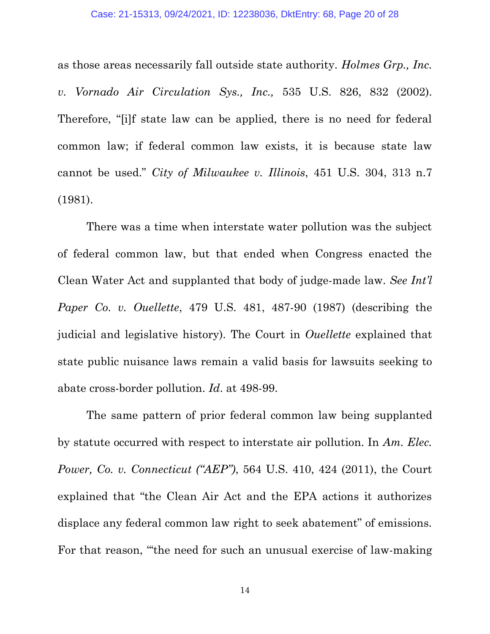as those areas necessarily fall outside state authority. *Holmes Grp., Inc. v. Vornado Air Circulation Sys., Inc.,* 535 U.S. 826, 832 (2002). Therefore, "[i]f state law can be applied, there is no need for federal common law; if federal common law exists, it is because state law cannot be used." *City of Milwaukee v. Illinois*, 451 U.S. 304, 313 n.7 (1981).

There was a time when interstate water pollution was the subject of federal common law, but that ended when Congress enacted the Clean Water Act and supplanted that body of judge-made law. *See Int'l Paper Co. v. Ouellette*, 479 U.S. 481, 487-90 (1987) (describing the judicial and legislative history). The Court in *Ouellette* explained that state public nuisance laws remain a valid basis for lawsuits seeking to abate cross-border pollution. *Id*. at 498-99.

The same pattern of prior federal common law being supplanted by statute occurred with respect to interstate air pollution. In *Am. Elec. Power, Co. v. Connecticut ("AEP")*, 564 U.S. 410, 424 (2011), the Court explained that "the Clean Air Act and the EPA actions it authorizes displace any federal common law right to seek abatement" of emissions. For that reason, "the need for such an unusual exercise of law-making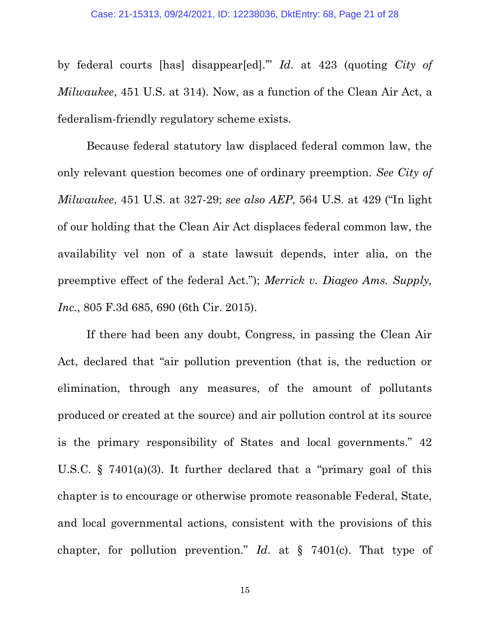by federal courts [has] disappear[ed].'" *Id*. at 423 (quoting *City of Milwaukee*, 451 U.S. at 314). Now, as a function of the Clean Air Act, a federalism-friendly regulatory scheme exists.

Because federal statutory law displaced federal common law, the only relevant question becomes one of ordinary preemption. *See City of Milwaukee*, 451 U.S. at 327-29; *see also AEP*, 564 U.S. at 429 ("In light of our holding that the Clean Air Act displaces federal common law, the availability vel non of a state lawsuit depends, inter alia, on the preemptive effect of the federal Act."); *Merrick v. Diageo Ams. Supply, Inc.*, 805 F.3d 685, 690 (6th Cir. 2015).

If there had been any doubt, Congress, in passing the Clean Air Act, declared that "air pollution prevention (that is, the reduction or elimination, through any measures, of the amount of pollutants produced or created at the source) and air pollution control at its source is the primary responsibility of States and local governments." 42 U.S.C. § 7401(a)(3). It further declared that a "primary goal of this chapter is to encourage or otherwise promote reasonable Federal, State, and local governmental actions, consistent with the provisions of this chapter, for pollution prevention." *Id*. at § 7401(c). That type of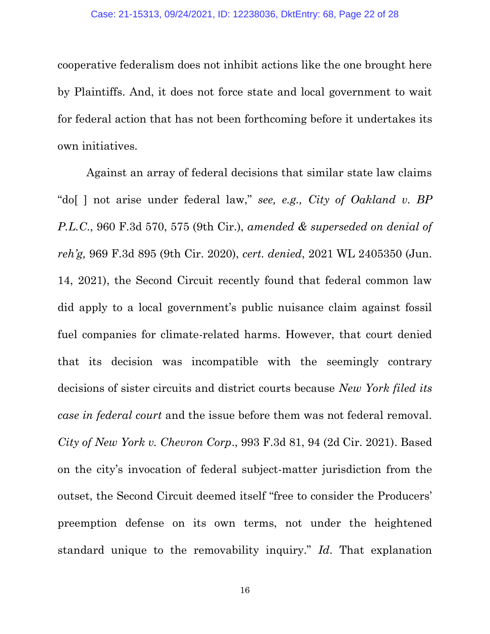cooperative federalism does not inhibit actions like the one brought here by Plaintiffs. And, it does not force state and local government to wait for federal action that has not been forthcoming before it undertakes its own initiatives.

Against an array of federal decisions that similar state law claims "do[ ] not arise under federal law," *see, e.g., City of Oakland v. BP P.L.C*., 960 F.3d 570, 575 (9th Cir.), *amended & superseded on denial of reh'g,* 969 F.3d 895 (9th Cir. 2020), *cert. denied*, 2021 WL 2405350 (Jun. 14, 2021), the Second Circuit recently found that federal common law did apply to a local government's public nuisance claim against fossil fuel companies for climate-related harms. However, that court denied that its decision was incompatible with the seemingly contrary decisions of sister circuits and district courts because *New York filed its case in federal court* and the issue before them was not federal removal. *City of New York v. Chevron Corp*., 993 F.3d 81, 94 (2d Cir. 2021). Based on the city's invocation of federal subject-matter jurisdiction from the outset, the Second Circuit deemed itself "free to consider the Producers' preemption defense on its own terms, not under the heightened standard unique to the removability inquiry." *Id*. That explanation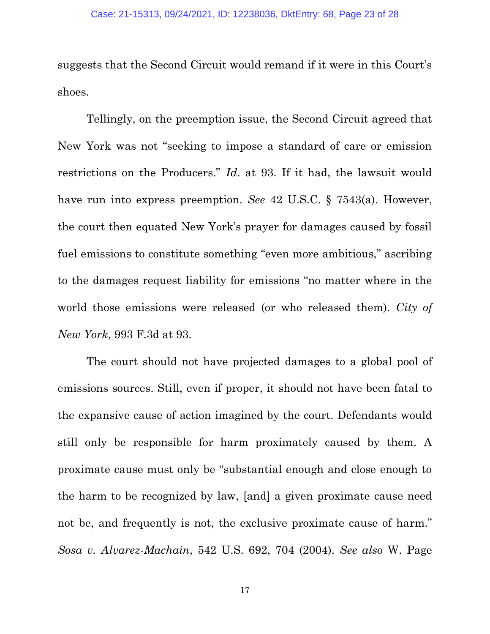suggests that the Second Circuit would remand if it were in this Court's shoes.

Tellingly, on the preemption issue, the Second Circuit agreed that New York was not "seeking to impose a standard of care or emission restrictions on the Producers." *Id*. at 93. If it had, the lawsuit would have run into express preemption. *See* 42 U.S.C. § 7543(a). However, the court then equated New York's prayer for damages caused by fossil fuel emissions to constitute something "even more ambitious," ascribing to the damages request liability for emissions "no matter where in the world those emissions were released (or who released them). *City of New York*, 993 F.3d at 93.

The court should not have projected damages to a global pool of emissions sources. Still, even if proper, it should not have been fatal to the expansive cause of action imagined by the court. Defendants would still only be responsible for harm proximately caused by them. A proximate cause must only be "substantial enough and close enough to the harm to be recognized by law, [and] a given proximate cause need not be, and frequently is not, the exclusive proximate cause of harm." *Sosa v. Alvarez-Machain*, 542 U.S. 692, 704 (2004). *See also* W. Page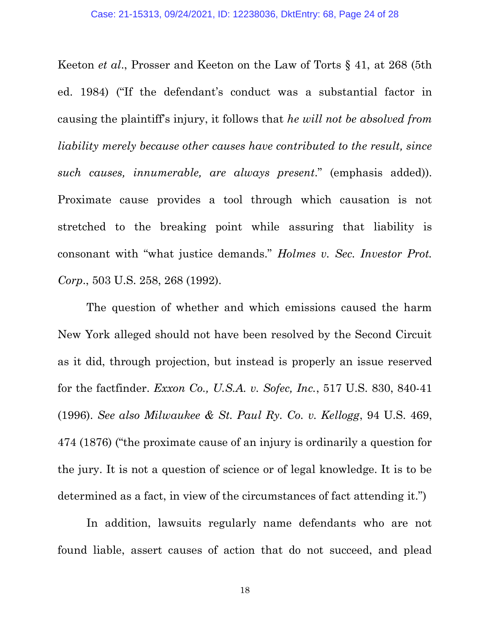Keeton *et al*., Prosser and Keeton on the Law of Torts § 41, at 268 (5th ed. 1984) ("If the defendant's conduct was a substantial factor in causing the plaintiff's injury, it follows that *he will not be absolved from liability merely because other causes have contributed to the result, since such causes, innumerable, are always present*." (emphasis added)). Proximate cause provides a tool through which causation is not stretched to the breaking point while assuring that liability is consonant with "what justice demands." *Holmes v. Sec. Investor Prot. Corp*., 503 U.S. 258, 268 (1992).

The question of whether and which emissions caused the harm New York alleged should not have been resolved by the Second Circuit as it did, through projection, but instead is properly an issue reserved for the factfinder. *Exxon Co., U.S.A. v. Sofec, Inc.*, 517 U.S. 830, 840-41 (1996). *See also Milwaukee & St. Paul Ry. Co. v. Kellogg*, 94 U.S. 469, 474 (1876) ("the proximate cause of an injury is ordinarily a question for the jury. It is not a question of science or of legal knowledge. It is to be determined as a fact, in view of the circumstances of fact attending it.")

In addition, lawsuits regularly name defendants who are not found liable, assert causes of action that do not succeed, and plead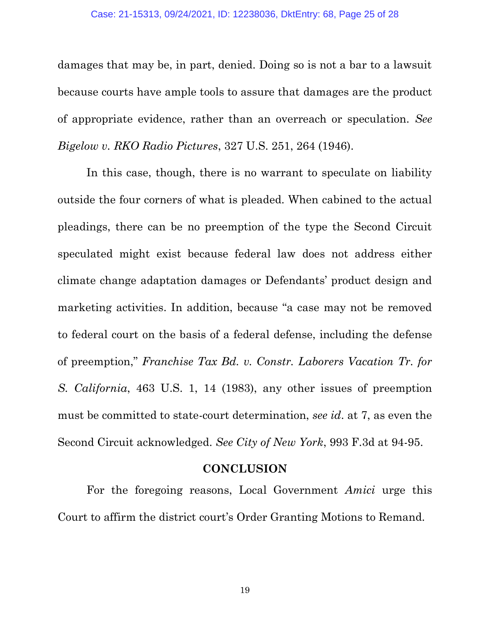damages that may be, in part, denied. Doing so is not a bar to a lawsuit because courts have ample tools to assure that damages are the product of appropriate evidence, rather than an overreach or speculation. *See Bigelow v. RKO Radio Pictures*, 327 U.S. 251, 264 (1946).

In this case, though, there is no warrant to speculate on liability outside the four corners of what is pleaded. When cabined to the actual pleadings, there can be no preemption of the type the Second Circuit speculated might exist because federal law does not address either climate change adaptation damages or Defendants' product design and marketing activities. In addition, because "a case may not be removed to federal court on the basis of a federal defense, including the defense of preemption," *Franchise Tax Bd. v. Constr. Laborers Vacation Tr. for S. California*, 463 U.S. 1, 14 (1983), any other issues of preemption must be committed to state-court determination, *see id*. at 7, as even the Second Circuit acknowledged. *See City of New York*, 993 F.3d at 94-95.

#### **CONCLUSION**

For the foregoing reasons, Local Government *Amici* urge this Court to affirm the district court's Order Granting Motions to Remand.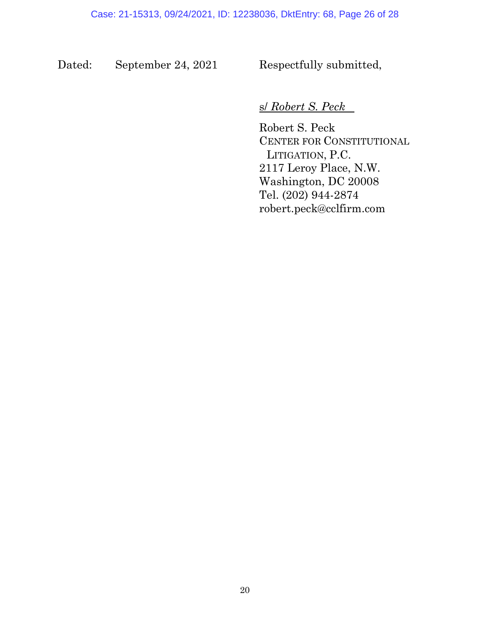Dated: September 24, 2021 Respectfully submitted,

## s/ *Robert S. Peck*

Robert S. Peck CENTER FOR CONSTITUTIONAL LITIGATION, P.C. 2117 Leroy Place, N.W. Washington, DC 20008 Tel. (202) 944-2874 robert.peck@cclfirm.com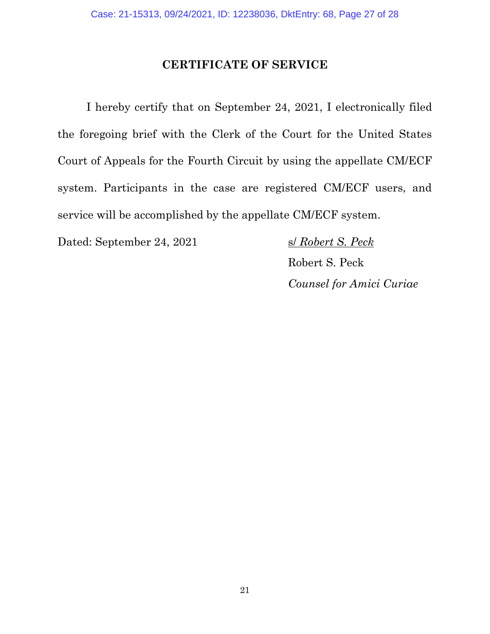## **CERTIFICATE OF SERVICE**

I hereby certify that on September 24, 2021, I electronically filed the foregoing brief with the Clerk of the Court for the United States Court of Appeals for the Fourth Circuit by using the appellate CM/ECF system. Participants in the case are registered CM/ECF users, and service will be accomplished by the appellate CM/ECF system.

Dated: September 24, 2021 s/ *Robert S. Peck* 

Robert S. Peck *Counsel for Amici Curiae*